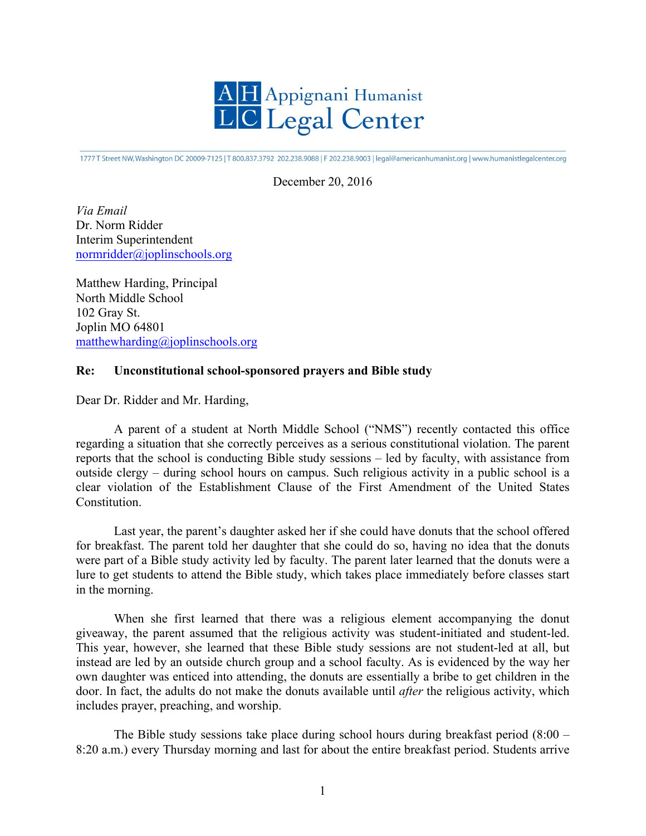

1777 T Street NW, Washington DC 20009-7125 | T 800.837.3792 202.238.9088 | F 202.238.9003 | legal@americanhumanist.org | www.humanistlegalcenter.org

December 20, 2016

*Via Email* Dr. Norm Ridder Interim Superintendent normridder@joplinschools.org

Matthew Harding, Principal North Middle School 102 Gray St. Joplin MO 64801 matthewharding@joplinschools.org

## **Re: Unconstitutional school-sponsored prayers and Bible study**

Dear Dr. Ridder and Mr. Harding,

A parent of a student at North Middle School ("NMS") recently contacted this office regarding a situation that she correctly perceives as a serious constitutional violation. The parent reports that the school is conducting Bible study sessions – led by faculty, with assistance from outside clergy – during school hours on campus. Such religious activity in a public school is a clear violation of the Establishment Clause of the First Amendment of the United States **Constitution** 

Last year, the parent's daughter asked her if she could have donuts that the school offered for breakfast. The parent told her daughter that she could do so, having no idea that the donuts were part of a Bible study activity led by faculty. The parent later learned that the donuts were a lure to get students to attend the Bible study, which takes place immediately before classes start in the morning.

When she first learned that there was a religious element accompanying the donut giveaway, the parent assumed that the religious activity was student-initiated and student-led. This year, however, she learned that these Bible study sessions are not student-led at all, but instead are led by an outside church group and a school faculty. As is evidenced by the way her own daughter was enticed into attending, the donuts are essentially a bribe to get children in the door. In fact, the adults do not make the donuts available until *after* the religious activity, which includes prayer, preaching, and worship.

The Bible study sessions take place during school hours during breakfast period  $(8:00 -$ 8:20 a.m.) every Thursday morning and last for about the entire breakfast period. Students arrive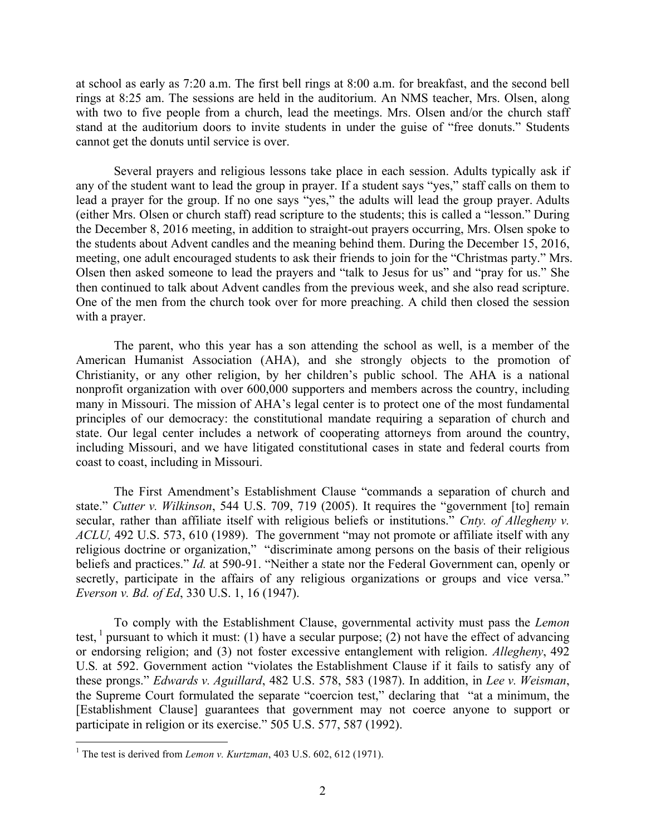at school as early as 7:20 a.m. The first bell rings at 8:00 a.m. for breakfast, and the second bell rings at 8:25 am. The sessions are held in the auditorium. An NMS teacher, Mrs. Olsen, along with two to five people from a church, lead the meetings. Mrs. Olsen and/or the church staff stand at the auditorium doors to invite students in under the guise of "free donuts." Students cannot get the donuts until service is over.

Several prayers and religious lessons take place in each session. Adults typically ask if any of the student want to lead the group in prayer. If a student says "yes," staff calls on them to lead a prayer for the group. If no one says "yes," the adults will lead the group prayer. Adults (either Mrs. Olsen or church staff) read scripture to the students; this is called a "lesson." During the December 8, 2016 meeting, in addition to straight-out prayers occurring, Mrs. Olsen spoke to the students about Advent candles and the meaning behind them. During the December 15, 2016, meeting, one adult encouraged students to ask their friends to join for the "Christmas party." Mrs. Olsen then asked someone to lead the prayers and "talk to Jesus for us" and "pray for us." She then continued to talk about Advent candles from the previous week, and she also read scripture. One of the men from the church took over for more preaching. A child then closed the session with a prayer.

The parent, who this year has a son attending the school as well, is a member of the American Humanist Association (AHA), and she strongly objects to the promotion of Christianity, or any other religion, by her children's public school. The AHA is a national nonprofit organization with over 600,000 supporters and members across the country, including many in Missouri. The mission of AHA's legal center is to protect one of the most fundamental principles of our democracy: the constitutional mandate requiring a separation of church and state. Our legal center includes a network of cooperating attorneys from around the country, including Missouri, and we have litigated constitutional cases in state and federal courts from coast to coast, including in Missouri.

The First Amendment's Establishment Clause "commands a separation of church and state." *Cutter v. Wilkinson*, 544 U.S. 709, 719 (2005). It requires the "government [to] remain secular, rather than affiliate itself with religious beliefs or institutions." *Cnty. of Allegheny v. ACLU,* 492 U.S. 573, 610 (1989). The government "may not promote or affiliate itself with any religious doctrine or organization," "discriminate among persons on the basis of their religious beliefs and practices." *Id.* at 590-91. "Neither a state nor the Federal Government can, openly or secretly, participate in the affairs of any religious organizations or groups and vice versa." *Everson v. Bd. of Ed*, 330 U.S. 1, 16 (1947).

To comply with the Establishment Clause, governmental activity must pass the *Lemon*  test, <sup>1</sup> pursuant to which it must: (1) have a secular purpose; (2) not have the effect of advancing or endorsing religion; and (3) not foster excessive entanglement with religion. *Allegheny*, 492 U.S*.* at 592. Government action "violates the Establishment Clause if it fails to satisfy any of these prongs." *Edwards v. Aguillard*, 482 U.S. 578, 583 (1987). In addition, in *Lee v. Weisman*, the Supreme Court formulated the separate "coercion test," declaring that "at a minimum, the [Establishment Clause] guarantees that government may not coerce anyone to support or participate in religion or its exercise." 505 U.S. 577, 587 (1992).

<sup>&</sup>lt;sup>1</sup> The test is derived from *Lemon v. Kurtzman*, 403 U.S. 602, 612 (1971).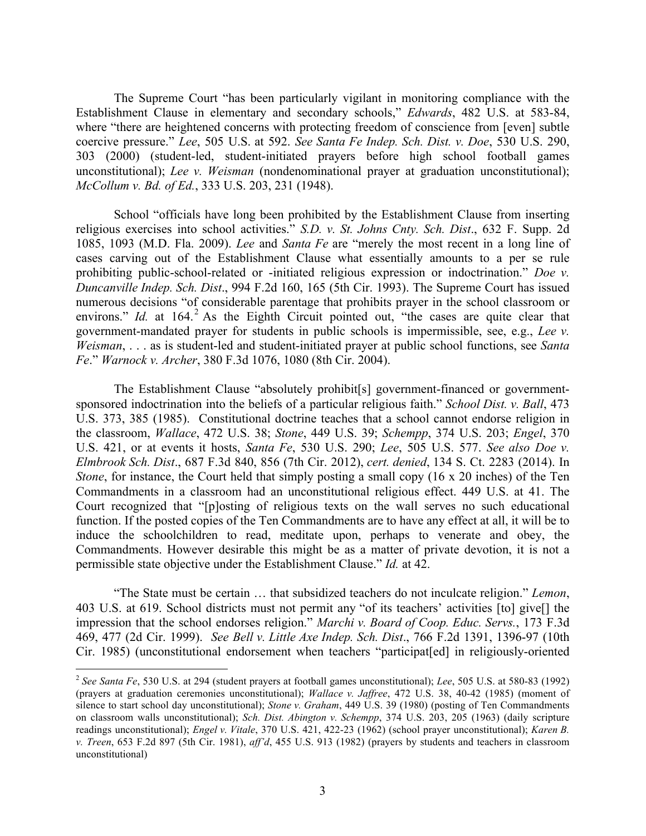The Supreme Court "has been particularly vigilant in monitoring compliance with the Establishment Clause in elementary and secondary schools," *Edwards*, 482 U.S. at 583-84, where "there are heightened concerns with protecting freedom of conscience from [even] subtle coercive pressure." *Lee*, 505 U.S. at 592. *See Santa Fe Indep. Sch. Dist. v. Doe*, 530 U.S. 290, 303 (2000) (student-led, student-initiated prayers before high school football games unconstitutional); *Lee v. Weisman* (nondenominational prayer at graduation unconstitutional); *McCollum v. Bd. of Ed.*, 333 U.S. 203, 231 (1948).

School "officials have long been prohibited by the Establishment Clause from inserting religious exercises into school activities." *S.D. v. St. Johns Cnty. Sch. Dist*., 632 F. Supp. 2d 1085, 1093 (M.D. Fla. 2009). *Lee* and *Santa Fe* are "merely the most recent in a long line of cases carving out of the Establishment Clause what essentially amounts to a per se rule prohibiting public-school-related or -initiated religious expression or indoctrination." *Doe v. Duncanville Indep. Sch. Dist*., 994 F.2d 160, 165 (5th Cir. 1993). The Supreme Court has issued numerous decisions "of considerable parentage that prohibits prayer in the school classroom or environs." *Id.* at 164.<sup>2</sup> As the Eighth Circuit pointed out, "the cases are quite clear that government-mandated prayer for students in public schools is impermissible, see, e.g., *Lee v. Weisman*, . . . as is student-led and student-initiated prayer at public school functions, see *Santa Fe*." *Warnock v. Archer*, 380 F.3d 1076, 1080 (8th Cir. 2004).

The Establishment Clause "absolutely prohibit[s] government-financed or governmentsponsored indoctrination into the beliefs of a particular religious faith." *School Dist. v. Ball*, 473 U.S. 373, 385 (1985). Constitutional doctrine teaches that a school cannot endorse religion in the classroom, *Wallace*, 472 U.S. 38; *Stone*, 449 U.S. 39; *Schempp*, 374 U.S. 203; *Engel*, 370 U.S. 421, or at events it hosts, *Santa Fe*, 530 U.S. 290; *Lee*, 505 U.S. 577. *See also Doe v. Elmbrook Sch. Dist*., 687 F.3d 840, 856 (7th Cir. 2012), *cert. denied*, 134 S. Ct. 2283 (2014). In *Stone*, for instance, the Court held that simply posting a small copy (16 x 20 inches) of the Ten Commandments in a classroom had an unconstitutional religious effect. 449 U.S. at 41. The Court recognized that "[p]osting of religious texts on the wall serves no such educational function. If the posted copies of the Ten Commandments are to have any effect at all, it will be to induce the schoolchildren to read, meditate upon, perhaps to venerate and obey, the Commandments. However desirable this might be as a matter of private devotion, it is not a permissible state objective under the Establishment Clause." *Id.* at 42.

"The State must be certain … that subsidized teachers do not inculcate religion." *Lemon*, 403 U.S. at 619. School districts must not permit any "of its teachers' activities [to] give[] the impression that the school endorses religion." *Marchi v. Board of Coop. Educ. Servs.*, 173 F.3d 469, 477 (2d Cir. 1999). *See Bell v. Little Axe Indep. Sch. Dist*., 766 F.2d 1391, 1396-97 (10th Cir. 1985) (unconstitutional endorsement when teachers "participat[ed] in religiously-oriented

 <sup>2</sup> *See Santa Fe*, 530 U.S. at 294 (student prayers at football games unconstitutional); *Lee*, 505 U.S. at 580-83 (1992) (prayers at graduation ceremonies unconstitutional); *Wallace v. Jaffree*, 472 U.S. 38, 40-42 (1985) (moment of silence to start school day unconstitutional); *Stone v. Graham*, 449 U.S. 39 (1980) (posting of Ten Commandments on classroom walls unconstitutional); *Sch. Dist. Abington v. Schempp*, 374 U.S. 203, 205 (1963) (daily scripture readings unconstitutional); *Engel v. Vitale*, 370 U.S. 421, 422-23 (1962) (school prayer unconstitutional); *Karen B. v. Treen*, 653 F.2d 897 (5th Cir. 1981), *aff'd*, 455 U.S. 913 (1982) (prayers by students and teachers in classroom unconstitutional)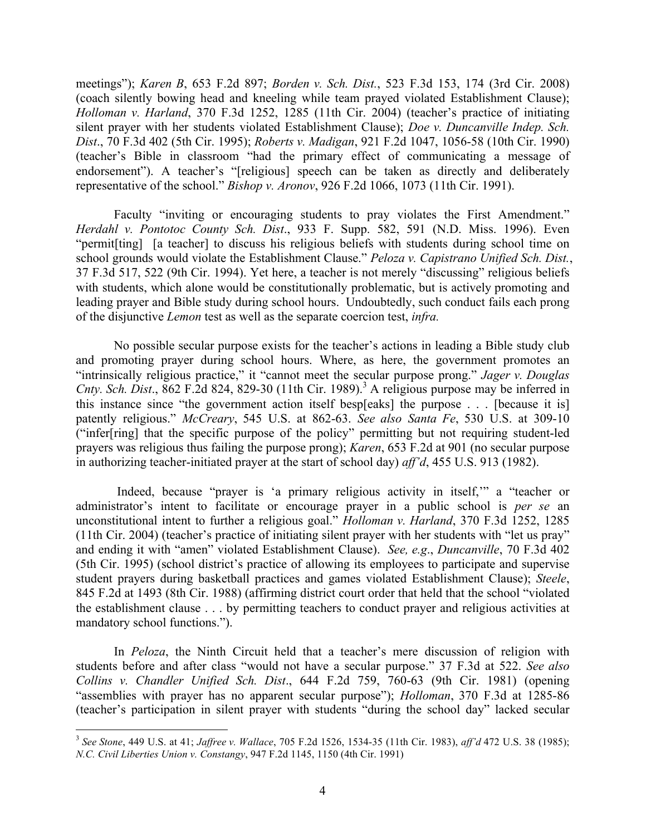meetings"); *Karen B*, 653 F.2d 897; *Borden v. Sch. Dist.*, 523 F.3d 153, 174 (3rd Cir. 2008) (coach silently bowing head and kneeling while team prayed violated Establishment Clause); *Holloman v. Harland*, 370 F.3d 1252, 1285 (11th Cir. 2004) (teacher's practice of initiating silent prayer with her students violated Establishment Clause); *Doe v. Duncanville Indep. Sch. Dist*., 70 F.3d 402 (5th Cir. 1995); *Roberts v. Madigan*, 921 F.2d 1047, 1056-58 (10th Cir. 1990) (teacher's Bible in classroom "had the primary effect of communicating a message of endorsement"). A teacher's "[religious] speech can be taken as directly and deliberately representative of the school." *Bishop v. Aronov*, 926 F.2d 1066, 1073 (11th Cir. 1991).

Faculty "inviting or encouraging students to pray violates the First Amendment." *Herdahl v. Pontotoc County Sch. Dist*., 933 F. Supp. 582, 591 (N.D. Miss. 1996). Even "permit[ting] [a teacher] to discuss his religious beliefs with students during school time on school grounds would violate the Establishment Clause." *Peloza v. Capistrano Unified Sch. Dist.*, 37 F.3d 517, 522 (9th Cir. 1994). Yet here, a teacher is not merely "discussing" religious beliefs with students, which alone would be constitutionally problematic, but is actively promoting and leading prayer and Bible study during school hours. Undoubtedly, such conduct fails each prong of the disjunctive *Lemon* test as well as the separate coercion test, *infra.*

No possible secular purpose exists for the teacher's actions in leading a Bible study club and promoting prayer during school hours. Where, as here, the government promotes an "intrinsically religious practice," it "cannot meet the secular purpose prong." *Jager v. Douglas Cnty. Sch. Dist.*, 862 F.2d 824, 829-30 (11th Cir. 1989).<sup>3</sup> A religious purpose may be inferred in this instance since "the government action itself besp[eaks] the purpose . . . [because it is] patently religious." *McCreary*, 545 U.S. at 862-63. *See also Santa Fe*, 530 U.S. at 309-10 ("infer[ring] that the specific purpose of the policy" permitting but not requiring student-led prayers was religious thus failing the purpose prong); *Karen*, 653 F.2d at 901 (no secular purpose in authorizing teacher-initiated prayer at the start of school day) *aff'd*, 455 U.S. 913 (1982).

Indeed, because "prayer is 'a primary religious activity in itself,'" a "teacher or administrator's intent to facilitate or encourage prayer in a public school is *per se* an unconstitutional intent to further a religious goal." *Holloman v. Harland*, 370 F.3d 1252, 1285 (11th Cir. 2004) (teacher's practice of initiating silent prayer with her students with "let us pray" and ending it with "amen" violated Establishment Clause). *See, e.g*., *Duncanville*, 70 F.3d 402 (5th Cir. 1995) (school district's practice of allowing its employees to participate and supervise student prayers during basketball practices and games violated Establishment Clause); *Steele*, 845 F.2d at 1493 (8th Cir. 1988) (affirming district court order that held that the school "violated the establishment clause . . . by permitting teachers to conduct prayer and religious activities at mandatory school functions.").

In *Peloza*, the Ninth Circuit held that a teacher's mere discussion of religion with students before and after class "would not have a secular purpose." 37 F.3d at 522. *See also Collins v. Chandler Unified Sch. Dist*., 644 F.2d 759, 760-63 (9th Cir. 1981) (opening "assemblies with prayer has no apparent secular purpose"); *Holloman*, 370 F.3d at 1285-86 (teacher's participation in silent prayer with students "during the school day" lacked secular

 <sup>3</sup> *See Stone*, 449 U.S. at 41; *Jaffree v. Wallace*, 705 F.2d 1526, 1534-35 (11th Cir. 1983), *aff'd* 472 U.S. 38 (1985); *N.C. Civil Liberties Union v. Constangy*, 947 F.2d 1145, 1150 (4th Cir. 1991)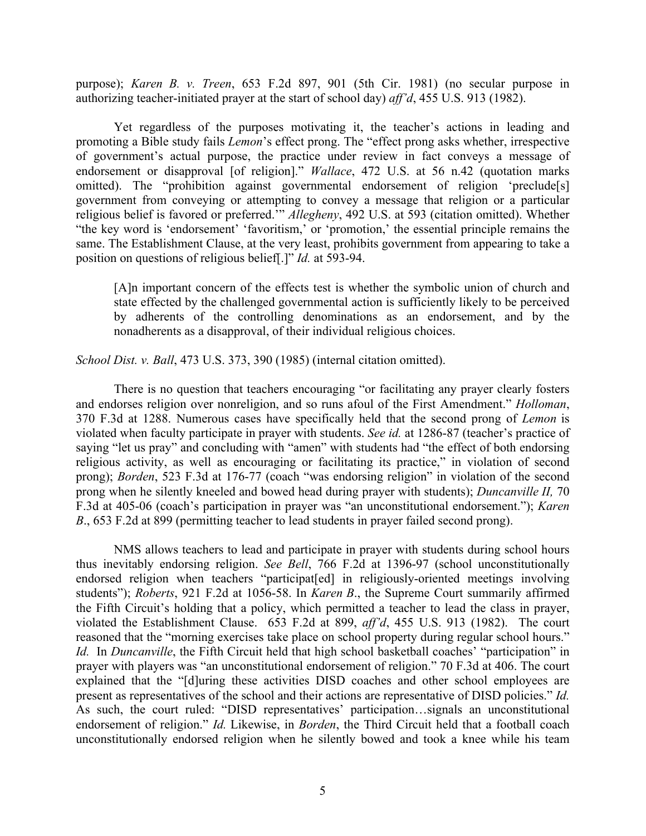purpose); *Karen B. v. Treen*, 653 F.2d 897, 901 (5th Cir. 1981) (no secular purpose in authorizing teacher-initiated prayer at the start of school day) *aff'd*, 455 U.S. 913 (1982).

Yet regardless of the purposes motivating it, the teacher's actions in leading and promoting a Bible study fails *Lemon*'s effect prong. The "effect prong asks whether, irrespective of government's actual purpose, the practice under review in fact conveys a message of endorsement or disapproval [of religion]." *Wallace*, 472 U.S. at 56 n.42 (quotation marks omitted). The "prohibition against governmental endorsement of religion 'preclude[s] government from conveying or attempting to convey a message that religion or a particular religious belief is favored or preferred.'" *Allegheny*, 492 U.S. at 593 (citation omitted). Whether "the key word is 'endorsement' 'favoritism,' or 'promotion,' the essential principle remains the same. The Establishment Clause, at the very least, prohibits government from appearing to take a position on questions of religious belief[.]" *Id.* at 593-94.

[A]n important concern of the effects test is whether the symbolic union of church and state effected by the challenged governmental action is sufficiently likely to be perceived by adherents of the controlling denominations as an endorsement, and by the nonadherents as a disapproval, of their individual religious choices.

*School Dist. v. Ball*, 473 U.S. 373, 390 (1985) (internal citation omitted).

There is no question that teachers encouraging "or facilitating any prayer clearly fosters and endorses religion over nonreligion, and so runs afoul of the First Amendment." *Holloman*, 370 F.3d at 1288. Numerous cases have specifically held that the second prong of *Lemon* is violated when faculty participate in prayer with students. *See id.* at 1286-87 (teacher's practice of saying "let us pray" and concluding with "amen" with students had "the effect of both endorsing religious activity, as well as encouraging or facilitating its practice," in violation of second prong); *Borden*, 523 F.3d at 176-77 (coach "was endorsing religion" in violation of the second prong when he silently kneeled and bowed head during prayer with students); *Duncanville II,* 70 F.3d at 405-06 (coach's participation in prayer was "an unconstitutional endorsement."); *Karen B*., 653 F.2d at 899 (permitting teacher to lead students in prayer failed second prong).

NMS allows teachers to lead and participate in prayer with students during school hours thus inevitably endorsing religion. *See Bell*, 766 F.2d at 1396-97 (school unconstitutionally endorsed religion when teachers "participat[ed] in religiously-oriented meetings involving students"); *Roberts*, 921 F.2d at 1056-58. In *Karen B*., the Supreme Court summarily affirmed the Fifth Circuit's holding that a policy, which permitted a teacher to lead the class in prayer, violated the Establishment Clause. 653 F.2d at 899, *aff'd*, 455 U.S. 913 (1982). The court reasoned that the "morning exercises take place on school property during regular school hours." *Id.* In *Duncanville*, the Fifth Circuit held that high school basketball coaches' "participation" in prayer with players was "an unconstitutional endorsement of religion." 70 F.3d at 406. The court explained that the "[d]uring these activities DISD coaches and other school employees are present as representatives of the school and their actions are representative of DISD policies." *Id.*  As such, the court ruled: "DISD representatives' participation…signals an unconstitutional endorsement of religion." *Id.* Likewise, in *Borden*, the Third Circuit held that a football coach unconstitutionally endorsed religion when he silently bowed and took a knee while his team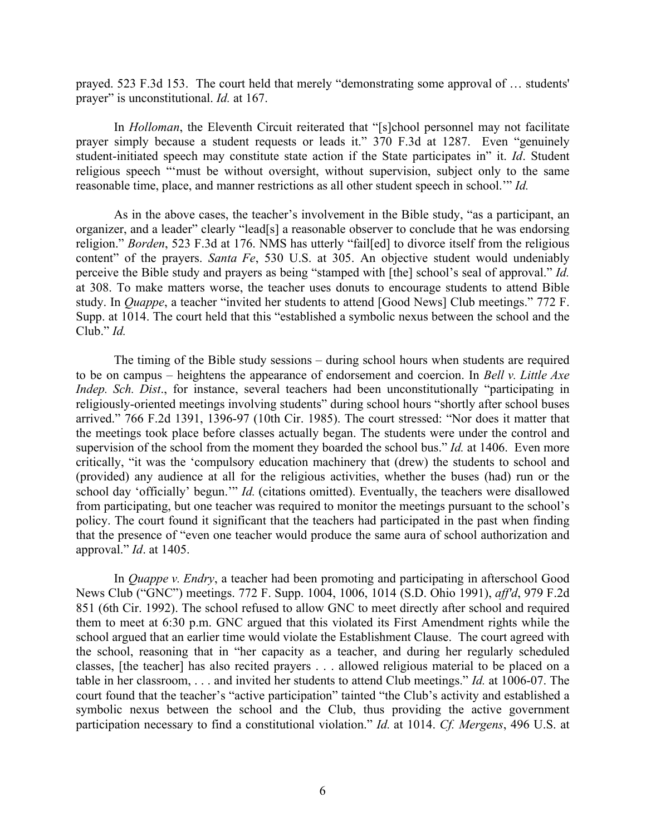prayed. 523 F.3d 153. The court held that merely "demonstrating some approval of … students' prayer" is unconstitutional. *Id.* at 167.

In *Holloman*, the Eleventh Circuit reiterated that "[s]chool personnel may not facilitate prayer simply because a student requests or leads it." 370 F.3d at 1287. Even "genuinely student-initiated speech may constitute state action if the State participates in" it. *Id*. Student religious speech "'must be without oversight, without supervision, subject only to the same reasonable time, place, and manner restrictions as all other student speech in school.'" *Id.*

As in the above cases, the teacher's involvement in the Bible study, "as a participant, an organizer, and a leader" clearly "lead[s] a reasonable observer to conclude that he was endorsing religion." *Borden*, 523 F.3d at 176. NMS has utterly "fail[ed] to divorce itself from the religious content" of the prayers. *Santa Fe*, 530 U.S. at 305. An objective student would undeniably perceive the Bible study and prayers as being "stamped with [the] school's seal of approval." *Id.* at 308. To make matters worse, the teacher uses donuts to encourage students to attend Bible study. In *Quappe*, a teacher "invited her students to attend [Good News] Club meetings." 772 F. Supp. at 1014. The court held that this "established a symbolic nexus between the school and the Club." *Id.* 

The timing of the Bible study sessions – during school hours when students are required to be on campus – heightens the appearance of endorsement and coercion. In *Bell v. Little Axe Indep. Sch. Dist*., for instance, several teachers had been unconstitutionally "participating in religiously-oriented meetings involving students" during school hours "shortly after school buses arrived." 766 F.2d 1391, 1396-97 (10th Cir. 1985). The court stressed: "Nor does it matter that the meetings took place before classes actually began. The students were under the control and supervision of the school from the moment they boarded the school bus." *Id.* at 1406. Even more critically, "it was the 'compulsory education machinery that (drew) the students to school and (provided) any audience at all for the religious activities, whether the buses (had) run or the school day 'officially' begun.'" *Id.* (citations omitted). Eventually, the teachers were disallowed from participating, but one teacher was required to monitor the meetings pursuant to the school's policy. The court found it significant that the teachers had participated in the past when finding that the presence of "even one teacher would produce the same aura of school authorization and approval." *Id*. at 1405.

In *Quappe v. Endry*, a teacher had been promoting and participating in afterschool Good News Club ("GNC") meetings. 772 F. Supp. 1004, 1006, 1014 (S.D. Ohio 1991), *aff'd*, 979 F.2d 851 (6th Cir. 1992). The school refused to allow GNC to meet directly after school and required them to meet at 6:30 p.m. GNC argued that this violated its First Amendment rights while the school argued that an earlier time would violate the Establishment Clause. The court agreed with the school, reasoning that in "her capacity as a teacher, and during her regularly scheduled classes, [the teacher] has also recited prayers . . . allowed religious material to be placed on a table in her classroom, . . . and invited her students to attend Club meetings." *Id.* at 1006-07. The court found that the teacher's "active participation" tainted "the Club's activity and established a symbolic nexus between the school and the Club, thus providing the active government participation necessary to find a constitutional violation." *Id.* at 1014. *Cf. Mergens*, 496 U.S. at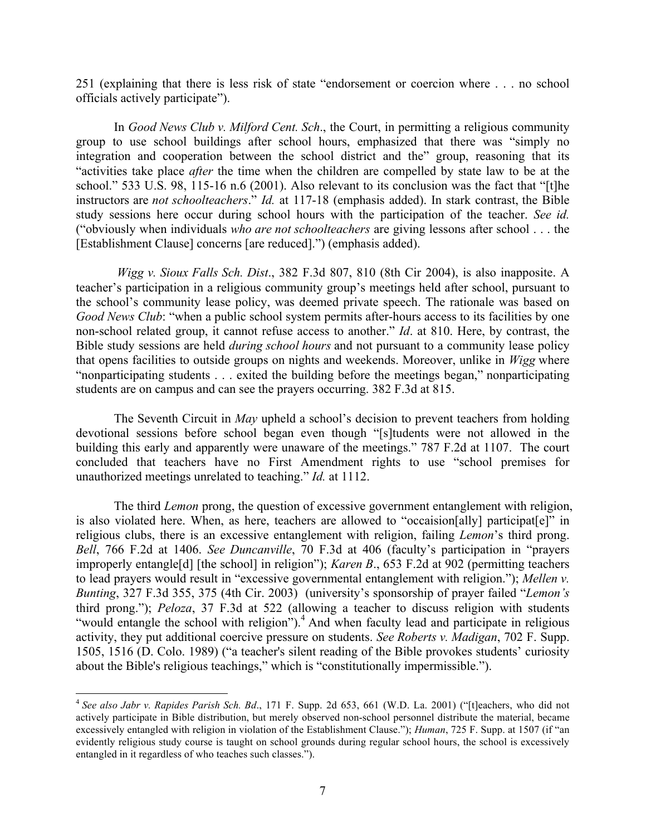251 (explaining that there is less risk of state "endorsement or coercion where . . . no school officials actively participate").

In *Good News Club v. Milford Cent. Sch*., the Court, in permitting a religious community group to use school buildings after school hours, emphasized that there was "simply no integration and cooperation between the school district and the" group, reasoning that its "activities take place *after* the time when the children are compelled by state law to be at the school." 533 U.S. 98, 115-16 n.6 (2001). Also relevant to its conclusion was the fact that "[t]he instructors are *not schoolteachers*." *Id.* at 117-18 (emphasis added). In stark contrast, the Bible study sessions here occur during school hours with the participation of the teacher. *See id.*  ("obviously when individuals *who are not schoolteachers* are giving lessons after school . . . the [Establishment Clause] concerns [are reduced].") (emphasis added).

*Wigg v. Sioux Falls Sch. Dist*., 382 F.3d 807, 810 (8th Cir 2004), is also inapposite. A teacher's participation in a religious community group's meetings held after school, pursuant to the school's community lease policy, was deemed private speech. The rationale was based on *Good News Club*: "when a public school system permits after-hours access to its facilities by one non-school related group, it cannot refuse access to another." *Id*. at 810. Here, by contrast, the Bible study sessions are held *during school hours* and not pursuant to a community lease policy that opens facilities to outside groups on nights and weekends. Moreover, unlike in *Wigg* where "nonparticipating students . . . exited the building before the meetings began," nonparticipating students are on campus and can see the prayers occurring. 382 F.3d at 815.

The Seventh Circuit in *May* upheld a school's decision to prevent teachers from holding devotional sessions before school began even though "[s]tudents were not allowed in the building this early and apparently were unaware of the meetings." 787 F.2d at 1107. The court concluded that teachers have no First Amendment rights to use "school premises for unauthorized meetings unrelated to teaching." *Id.* at 1112.

The third *Lemon* prong, the question of excessive government entanglement with religion, is also violated here. When, as here, teachers are allowed to "occaision[ally] participat[e]" in religious clubs, there is an excessive entanglement with religion, failing *Lemon*'s third prong. *Bell*, 766 F.2d at 1406. *See Duncanville*, 70 F.3d at 406 (faculty's participation in "prayers improperly entangle[d] [the school] in religion"); *Karen B*., 653 F.2d at 902 (permitting teachers to lead prayers would result in "excessive governmental entanglement with religion."); *Mellen v. Bunting*, 327 F.3d 355, 375 (4th Cir. 2003) (university's sponsorship of prayer failed "*Lemon's* third prong."); *Peloza*, 37 F.3d at 522 (allowing a teacher to discuss religion with students "would entangle the school with religion").<sup>4</sup> And when faculty lead and participate in religious activity, they put additional coercive pressure on students. *See Roberts v. Madigan*, 702 F. Supp. 1505, 1516 (D. Colo. 1989) ("a teacher's silent reading of the Bible provokes students' curiosity about the Bible's religious teachings," which is "constitutionally impermissible.").

 <sup>4</sup> *See also Jabr v. Rapides Parish Sch. Bd*., 171 F. Supp. 2d 653, 661 (W.D. La. 2001) ("[t]eachers, who did not actively participate in Bible distribution, but merely observed non-school personnel distribute the material, became excessively entangled with religion in violation of the Establishment Clause."); *Human*, 725 F. Supp. at 1507 (if "an evidently religious study course is taught on school grounds during regular school hours, the school is excessively entangled in it regardless of who teaches such classes.").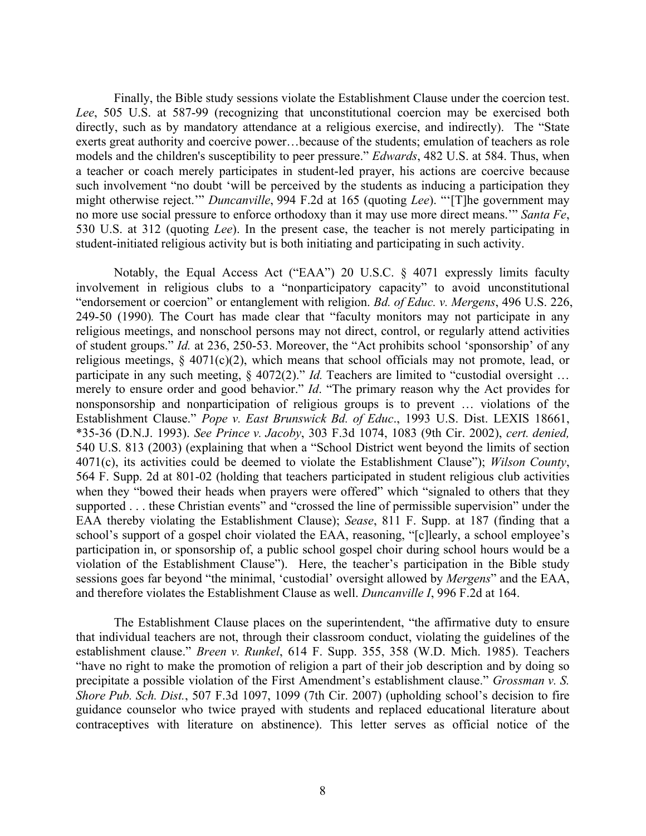Finally, the Bible study sessions violate the Establishment Clause under the coercion test. *Lee*, 505 U.S. at 587-99 (recognizing that unconstitutional coercion may be exercised both directly, such as by mandatory attendance at a religious exercise, and indirectly). The "State exerts great authority and coercive power…because of the students; emulation of teachers as role models and the children's susceptibility to peer pressure." *Edwards*, 482 U.S. at 584. Thus, when a teacher or coach merely participates in student-led prayer, his actions are coercive because such involvement "no doubt 'will be perceived by the students as inducing a participation they might otherwise reject.'" *Duncanville*, 994 F.2d at 165 (quoting *Lee*). "'[T]he government may no more use social pressure to enforce orthodoxy than it may use more direct means.'" *Santa Fe*, 530 U.S. at 312 (quoting *Lee*). In the present case, the teacher is not merely participating in student-initiated religious activity but is both initiating and participating in such activity.

Notably, the Equal Access Act ("EAA") 20 U.S.C. § 4071 expressly limits faculty involvement in religious clubs to a "nonparticipatory capacity" to avoid unconstitutional "endorsement or coercion" or entanglement with religion. *Bd. of Educ. v. Mergens*, 496 U.S. 226, 249-50 (1990)*.* The Court has made clear that "faculty monitors may not participate in any religious meetings, and nonschool persons may not direct, control, or regularly attend activities of student groups." *Id.* at 236, 250-53. Moreover, the "Act prohibits school 'sponsorship' of any religious meetings, § 4071(c)(2), which means that school officials may not promote, lead, or participate in any such meeting, § 4072(2)." *Id.* Teachers are limited to "custodial oversight ... merely to ensure order and good behavior." *Id*. "The primary reason why the Act provides for nonsponsorship and nonparticipation of religious groups is to prevent … violations of the Establishment Clause." *Pope v. East Brunswick Bd. of Educ*., 1993 U.S. Dist. LEXIS 18661, \*35-36 (D.N.J. 1993). *See Prince v. Jacoby*, 303 F.3d 1074, 1083 (9th Cir. 2002), *cert. denied,*  540 U.S. 813 (2003) (explaining that when a "School District went beyond the limits of section 4071(c), its activities could be deemed to violate the Establishment Clause"); *Wilson County*, 564 F. Supp. 2d at 801-02 (holding that teachers participated in student religious club activities when they "bowed their heads when prayers were offered" which "signaled to others that they supported . . . these Christian events" and "crossed the line of permissible supervision" under the EAA thereby violating the Establishment Clause); *Sease*, 811 F. Supp. at 187 (finding that a school's support of a gospel choir violated the EAA, reasoning, "[c]learly, a school employee's participation in, or sponsorship of, a public school gospel choir during school hours would be a violation of the Establishment Clause"). Here, the teacher's participation in the Bible study sessions goes far beyond "the minimal, 'custodial' oversight allowed by *Mergens*" and the EAA, and therefore violates the Establishment Clause as well. *Duncanville I*, 996 F.2d at 164.

The Establishment Clause places on the superintendent, "the affirmative duty to ensure that individual teachers are not, through their classroom conduct, violating the guidelines of the establishment clause." *Breen v. Runkel*, 614 F. Supp. 355, 358 (W.D. Mich. 1985). Teachers "have no right to make the promotion of religion a part of their job description and by doing so precipitate a possible violation of the First Amendment's establishment clause." *Grossman v. S. Shore Pub. Sch. Dist.*, 507 F.3d 1097, 1099 (7th Cir. 2007) (upholding school's decision to fire guidance counselor who twice prayed with students and replaced educational literature about contraceptives with literature on abstinence). This letter serves as official notice of the